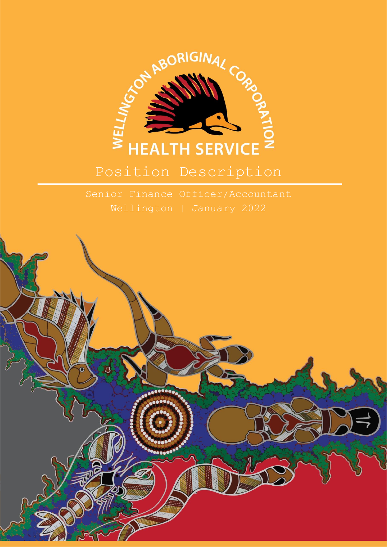

# Position Description

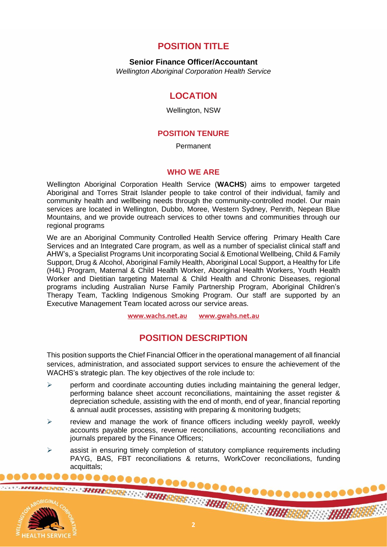## **POSITION TITLE**

**Senior Finance Officer/Accountant**

*Wellington Aboriginal Corporation Health Service*

## **LOCATION**

Wellington, NSW

#### **POSITION TENURE**

Permanent

#### **WHO WE ARE**

Wellington Aboriginal Corporation Health Service (**WACHS**) aims to empower targeted Aboriginal and Torres Strait Islander people to take control of their individual, family and community health and wellbeing needs through the community-controlled model. Our main services are located in Wellington, Dubbo, Moree, Western Sydney, Penrith, Nepean Blue Mountains, and we provide outreach services to other towns and communities through our regional programs

We are an Aboriginal Community Controlled Health Service offering Primary Health Care Services and an Integrated Care program, as well as a number of specialist clinical staff and AHW's, a Specialist Programs Unit incorporating Social & Emotional Wellbeing, Child & Family Support, Drug & Alcohol, Aboriginal Family Health, Aboriginal Local Support, a Healthy for Life (H4L) Program, Maternal & Child Health Worker, Aboriginal Health Workers, Youth Health Worker and Dietitian targeting Maternal & Child Health and Chronic Diseases, regional programs including Australian Nurse Family Partnership Program, Aboriginal Children's Therapy Team, Tackling Indigenous Smoking Program. Our staff are supported by an Executive Management Team located across our service areas.

**[www.wachs.net.au](http://www.wachs.net.au/) www.gwahs.net.au**

# **POSITION DESCRIPTION**

This position supports the Chief Financial Officer in the operational management of all financial services, administration, and associated support services to ensure the achievement of the WACHS's strategic plan. The key objectives of the role include to:

- $\triangleright$  perform and coordinate accounting duties including maintaining the general ledger, performing balance sheet account reconciliations, maintaining the asset register & depreciation schedule, assisting with the end of month, end of year, financial reporting & annual audit processes, assisting with preparing & monitoring budgets;
- $\triangleright$  review and manage the work of finance officers including weekly payroll, weekly accounts payable process, revenue reconciliations, accounting reconciliations and journals prepared by the Finance Officers;
- ➢ assist in ensuring timely completion of statutory compliance requirements including PAYG, BAS, FBT reconciliations & returns, WorkCover reconciliations, funding acquittals;

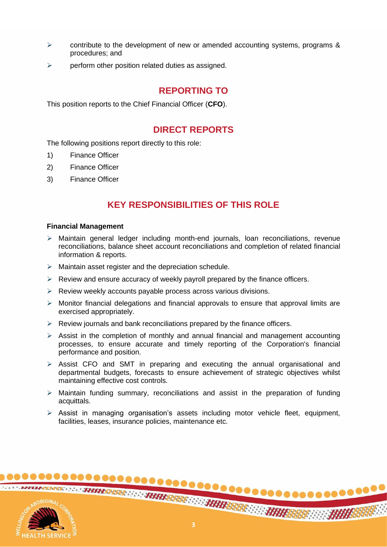- $\triangleright$  contribute to the development of new or amended accounting systems, programs & procedures; and
- $\triangleright$  perform other position related duties as assigned.

## **REPORTING TO**

This position reports to the Chief Financial Officer (**CFO**).

### **DIRECT REPORTS**

The following positions report directly to this role:

- 1) Finance Officer
- 2) Finance Officer
- 3) Finance Officer

## **KEY RESPONSIBILITIES OF THIS ROLE**

#### **Financial Management**

- $\triangleright$  Maintain general ledger including month-end journals, loan reconciliations, revenue reconciliations, balance sheet account reconciliations and completion of related financial information & reports.
- ➢ Maintain asset register and the depreciation schedule.
- $\triangleright$  Review and ensure accuracy of weekly payroll prepared by the finance officers.
- ➢ Review weekly accounts payable process across various divisions.
- $\triangleright$  Monitor financial delegations and financial approvals to ensure that approval limits are exercised appropriately.
- $\triangleright$  Review journals and bank reconciliations prepared by the finance officers.
- ➢ Assist in the completion of monthly and annual financial and management accounting processes, to ensure accurate and timely reporting of the Corporation's financial performance and position.
- $\triangleright$  Assist CFO and SMT in preparing and executing the annual organisational and departmental budgets, forecasts to ensure achievement of strategic objectives whilst maintaining effective cost controls.
- ➢ Maintain funding summary, reconciliations and assist in the preparation of funding acquittals.
- ➢ Assist in managing organisation's assets including motor vehicle fleet, equipment, facilities, leases, insurance policies, maintenance etc.

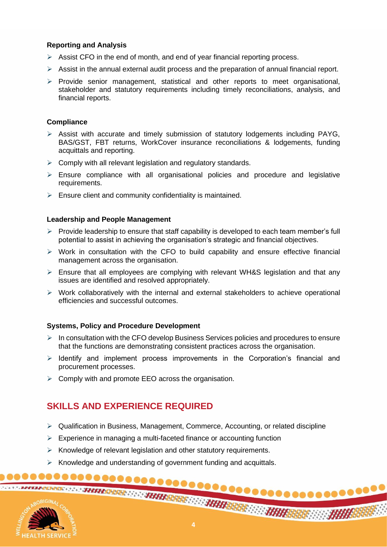#### **Reporting and Analysis**

- $\triangleright$  Assist CFO in the end of month, and end of year financial reporting process.
- $\triangleright$  Assist in the annual external audit process and the preparation of annual financial report.
- ➢ Provide senior management, statistical and other reports to meet organisational, stakeholder and statutory requirements including timely reconciliations, analysis, and financial reports.

#### **Compliance**

- $\triangleright$  Assist with accurate and timely submission of statutory lodgements including PAYG, BAS/GST, FBT returns, WorkCover insurance reconciliations & lodgements, funding acquittals and reporting.
- $\triangleright$  Comply with all relevant legislation and regulatory standards.
- ➢ Ensure compliance with all organisational policies and procedure and legislative requirements.
- $\triangleright$  Ensure client and community confidentiality is maintained.

#### **Leadership and People Management**

- $\triangleright$  Provide leadership to ensure that staff capability is developed to each team member's full potential to assist in achieving the organisation's strategic and financial objectives.
- ➢ Work in consultation with the CFO to build capability and ensure effective financial management across the organisation.
- ➢ Ensure that all employees are complying with relevant WH&S legislation and that any issues are identified and resolved appropriately.
- ➢ Work collaboratively with the internal and external stakeholders to achieve operational efficiencies and successful outcomes.

#### **Systems, Policy and Procedure Development**

- ➢ In consultation with the CFO develop Business Services policies and procedures to ensure that the functions are demonstrating consistent practices across the organisation.
- ➢ Identify and implement process improvements in the Corporation's financial and procurement processes.
- $\triangleright$  Comply with and promote EEO across the organisation.

# **SKILLS AND EXPERIENCE REQUIRED**

- $\triangleright$  Qualification in Business, Management, Commerce, Accounting, or related discipline
- $\triangleright$  Experience in managing a multi-faceted finance or accounting function
- ➢ Knowledge of relevant legislation and other statutory requirements.
- $\triangleright$  Knowledge and understanding of government funding and acquittals.